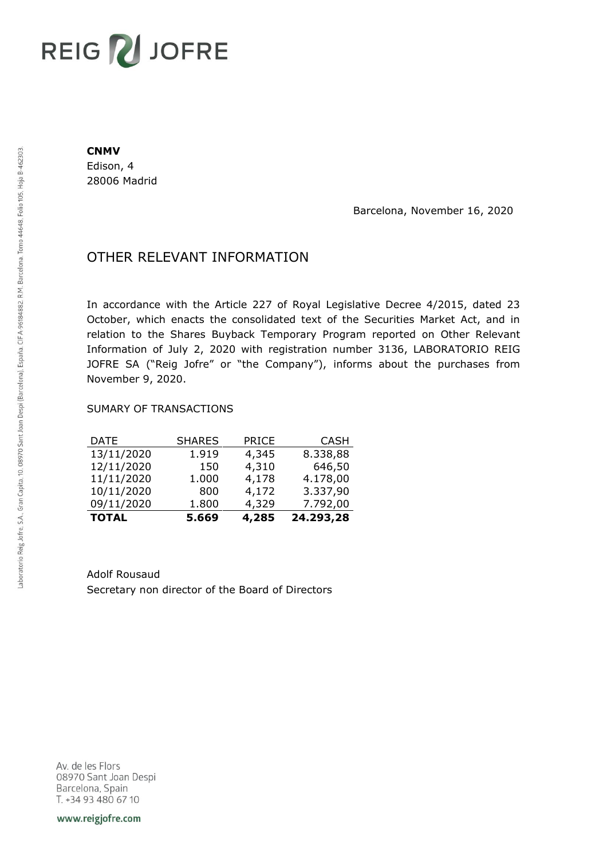# REIG V JOFRE

#### **CNMV**

Edison, 4 28006 Madrid

Barcelona, November 16, 2020

## OTHER RELEVANT INFORMATION

In accordance with the Article 227 of Royal Legislative Decree 4/2015, dated 23 October, which enacts the consolidated text of the Securities Market Act, and in relation to the Shares Buyback Temporary Program reported on Other Relevant Information of July 2, 2020 with registration number 3136, LABORATORIO REIG JOFRE SA ("Reig Jofre" or "the Company"), informs about the purchases from November 9, 2020.

### SUMARY OF TRANSACTIONS

| <b>TOTAL</b> | 5.669         | 4,285        | 24.293,28   |
|--------------|---------------|--------------|-------------|
| 09/11/2020   | 1.800         | 4,329        | 7.792,00    |
| 10/11/2020   | 800           | 4,172        | 3.337,90    |
| 11/11/2020   | 1.000         | 4,178        | 4.178,00    |
| 12/11/2020   | 150           | 4,310        | 646,50      |
| 13/11/2020   | 1.919         | 4,345        | 8.338,88    |
| DATE         | <b>SHARES</b> | <b>PRICE</b> | <b>CASH</b> |

Adolf Rousaud Secretary non director of the Board of Directors

Av. de les Flors 08970 Sant Joan Despi Barcelona, Spain T. +34 93 480 67 10

www.reigjofre.com